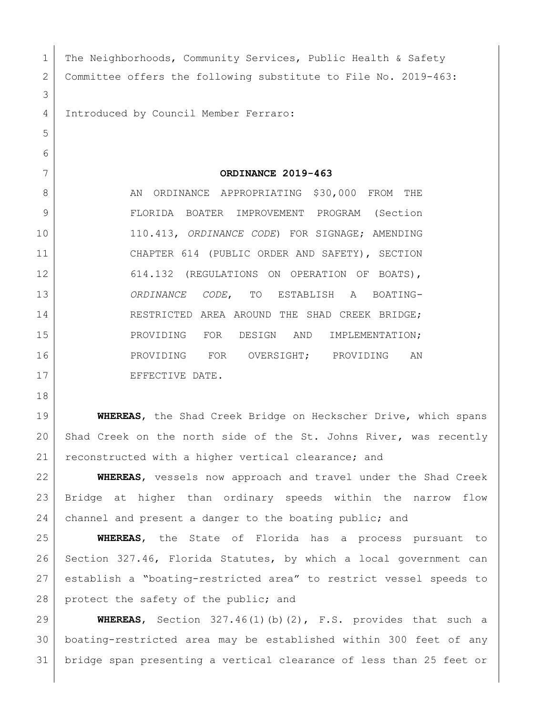| $\mathbf 1$  | The Neighborhoods, Community Services, Public Health & Safety      |
|--------------|--------------------------------------------------------------------|
| $\mathbf{2}$ | Committee offers the following substitute to File No. 2019-463:    |
| 3            |                                                                    |
| 4            | Introduced by Council Member Ferraro:                              |
| 5            |                                                                    |
| 6            |                                                                    |
| 7            | ORDINANCE 2019-463                                                 |
| 8            | ORDINANCE APPROPRIATING \$30,000 FROM THE<br>AN                    |
| 9            | FLORIDA BOATER IMPROVEMENT PROGRAM (Section                        |
| 10           | 110.413, ORDINANCE CODE) FOR SIGNAGE; AMENDING                     |
| 11           | CHAPTER 614 (PUBLIC ORDER AND SAFETY), SECTION                     |
| 12           | 614.132 (REGULATIONS ON OPERATION OF BOATS),                       |
| 13           | ORDINANCE CODE,<br>TO ESTABLISH A<br>BOATING-                      |
| 14           | RESTRICTED AREA AROUND THE SHAD CREEK BRIDGE;                      |
| 15           | PROVIDING FOR DESIGN AND<br>IMPLEMENTATION;                        |
| 16           | PROVIDING FOR OVERSIGHT; PROVIDING<br>AN                           |
| 17           | EFFECTIVE DATE.                                                    |
| 18           |                                                                    |
| 19           | WHEREAS, the Shad Creek Bridge on Heckscher Drive, which spans     |
| 20           | Shad Creek on the north side of the St. Johns River, was recently  |
| 21           | reconstructed with a higher vertical clearance; and                |
| 22           | WHEREAS, vessels now approach and travel under the Shad Creek      |
| 23           | Bridge at higher than ordinary speeds within the narrow<br>flow    |
| 24           | channel and present a danger to the boating public; and            |
| 25           | WHEREAS, the State of Florida has a process pursuant to            |
| 26           | Section 327.46, Florida Statutes, by which a local government can  |
| 27           | establish a "boating-restricted area" to restrict vessel speeds to |

28 protect the safety of the public; and

29 **WHEREAS**, Section 327.46(1)(b)(2), F.S. provides that such a 30 boating-restricted area may be established within 300 feet of any 31 bridge span presenting a vertical clearance of less than 25 feet or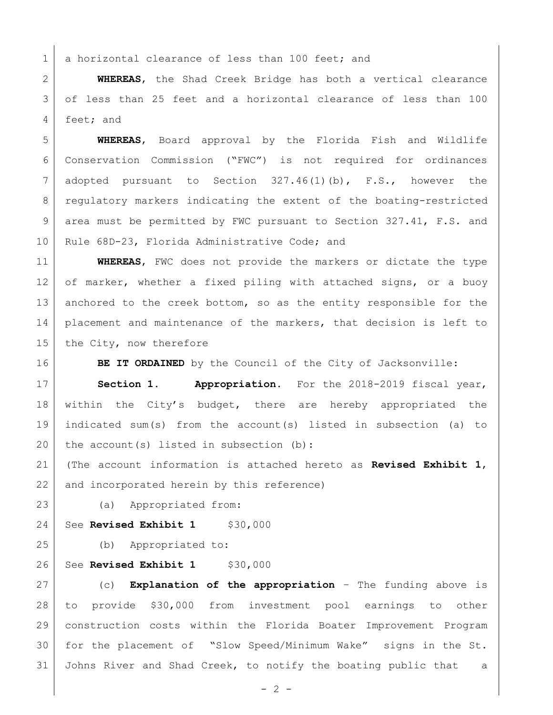1 a horizontal clearance of less than 100 feet; and

2 **WHEREAS**, the Shad Creek Bridge has both a vertical clearance 3 of less than 25 feet and a horizontal clearance of less than 100 4 feet; and

 **WHEREAS**, Board approval by the Florida Fish and Wildlife Conservation Commission ("FWC") is not required for ordinances adopted pursuant to Section 327.46(1)(b), F.S., however the regulatory markers indicating the extent of the boating-restricted area must be permitted by FWC pursuant to Section 327.41, F.S. and 10 Rule 68D-23, Florida Administrative Code; and

11 **WHEREAS**, FWC does not provide the markers or dictate the type 12 of marker, whether a fixed piling with attached signs, or a buoy 13 anchored to the creek bottom, so as the entity responsible for the 14 | placement and maintenance of the markers, that decision is left to 15 the City, now therefore

16 **BE IT ORDAINED** by the Council of the City of Jacksonville:

17 **Section 1. Appropriation.** For the 2018-2019 fiscal year, 18 within the City's budget, there are hereby appropriated the 19 indicated sum(s) from the account(s) listed in subsection (a) to 20 the account (s) listed in subsection (b):

21 (The account information is attached hereto as **Revised Exhibit 1**, 22 and incorporated herein by this reference)

23 (a) Appropriated from:

24 See **Revised Exhibit 1** \$30,000

25 (b) Appropriated to:

26 See **Revised Exhibit 1** \$30,000

 (c) **Explanation of the appropriation** – The funding above is to provide \$30,000 from investment pool earnings to other construction costs within the Florida Boater Improvement Program for the placement of "Slow Speed/Minimum Wake" signs in the St. 31 Johns River and Shad Creek, to notify the boating public that a

 $-2 -$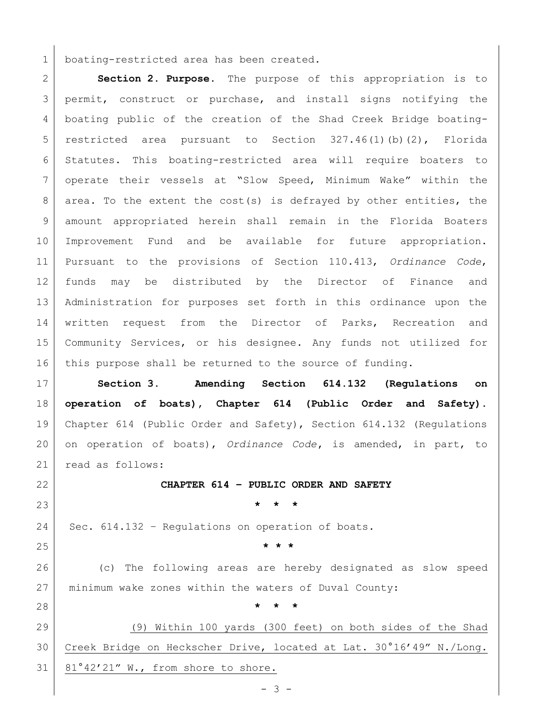1 boating-restricted area has been created.

 **Section 2. Purpose.** The purpose of this appropriation is to 3 permit, construct or purchase, and install signs notifying the boating public of the creation of the Shad Creek Bridge boating- restricted area pursuant to Section 327.46(1)(b)(2), Florida Statutes. This boating-restricted area will require boaters to operate their vessels at "Slow Speed, Minimum Wake" within the 8 area. To the extent the cost(s) is defrayed by other entities, the amount appropriated herein shall remain in the Florida Boaters Improvement Fund and be available for future appropriation. Pursuant to the provisions of Section 110.413, *Ordinance Code*, funds may be distributed by the Director of Finance and Administration for purposes set forth in this ordinance upon the 14 written request from the Director of Parks, Recreation and Community Services, or his designee. Any funds not utilized for 16 | this purpose shall be returned to the source of funding.

 **Section 3. Amending Section 614.132 (Regulations on operation of boats), Chapter 614 (Public Order and Safety).** Chapter 614 (Public Order and Safety), Section 614.132 (Regulations on operation of boats), *Ordinance Code***,** is amended, in part, to 21 read as follows:

**CHAPTER 614 – PUBLIC ORDER AND SAFETY**

**\* \* \***

Sec. 614.132 - Regulations on operation of boats.

**\* \* \***

**\* \* \***

 (c) The following areas are hereby designated as slow speed minimum wake zones within the waters of Duval County:

 (9) Within 100 yards (300 feet) on both sides of the Shad Creek Bridge on Heckscher Drive, located at Lat. 30°16'49" N./Long. 81°42'21" W., from shore to shore.